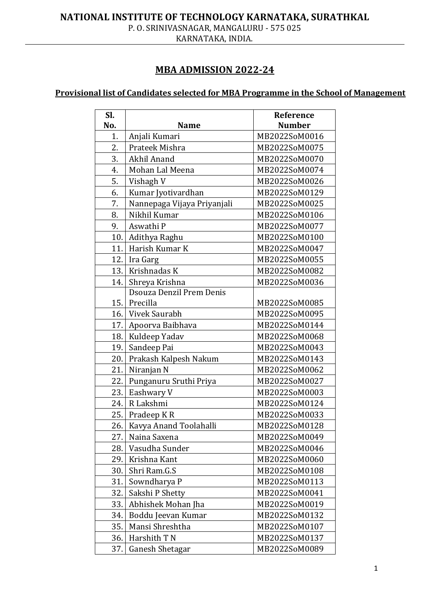## **NATIONAL INSTITUTE OF TECHNOLOGY KARNATAKA, SURATHKAL**

P. O. SRINIVASNAGAR, MANGALURU - 575 025

KARNATAKA, INDIA.

## **MBA ADMISSION 2022-24**

# **Provisional list of Candidates selected for MBA Programme in the School of Management**

| SI. |                             | Reference     |
|-----|-----------------------------|---------------|
| No. | <b>Name</b>                 | <b>Number</b> |
| 1.  | Anjali Kumari               | MB2022SoM0016 |
| 2.  | Prateek Mishra              | MB2022SoM0075 |
| 3.  | Akhil Anand                 | MB2022SoM0070 |
| 4.  | Mohan Lal Meena             | MB2022SoM0074 |
| 5.  | Vishagh V                   | MB2022SoM0026 |
| 6.  | Kumar Jyotivardhan          | MB2022SoM0129 |
| 7.  | Nannepaga Vijaya Priyanjali | MB2022SoM0025 |
| 8.  | Nikhil Kumar                | MB2022SoM0106 |
| 9.  | Aswathi P                   | MB2022SoM0077 |
|     | 10. Adithya Raghu           | MB2022SoM0100 |
| 11. | Harish Kumar K              | MB2022SoM0047 |
| 12. | Ira Garg                    | MB2022SoM0055 |
| 13. | Krishnadas K                | MB2022SoM0082 |
| 14. | Shreya Krishna              | MB2022SoM0036 |
|     | Dsouza Denzil Prem Denis    |               |
|     | 15. Precilla                | MB2022SoM0085 |
|     | 16. Vivek Saurabh           | MB2022SoM0095 |
|     | 17. Apoorva Baibhava        | MB2022SoM0144 |
| 18. | Kuldeep Yadav               | MB2022SoM0068 |
| 19. | Sandeep Pai                 | MB2022SoM0043 |
| 20. | Prakash Kalpesh Nakum       | MB2022SoM0143 |
| 21. | Niranjan N                  | MB2022SoM0062 |
| 22. | Punganuru Sruthi Priya      | MB2022SoM0027 |
| 23. | Eashwary V                  | MB2022SoM0003 |
| 24. | R Lakshmi                   | MB2022SoM0124 |
| 25. | Pradeep KR                  | MB2022SoM0033 |
| 26. | Kavya Anand Toolahalli      | MB2022SoM0128 |
| 27. | Naina Saxena                | MB2022SoM0049 |
| 28. | Vasudha Sunder              | MB2022SoM0046 |
| 29. | Krishna Kant                | MB2022SoM0060 |
| 30. | Shri Ram.G.S                | MB2022SoM0108 |
| 31. | Sowndharya P                | MB2022SoM0113 |
| 32. | Sakshi P Shetty             | MB2022SoM0041 |
| 33. | Abhishek Mohan Jha          | MB2022SoM0019 |
| 34. | Boddu Jeevan Kumar          | MB2022SoM0132 |
| 35. | Mansi Shreshtha             | MB2022SoM0107 |
| 36. | Harshith T N                | MB2022SoM0137 |
| 37. | Ganesh Shetagar             | MB2022SoM0089 |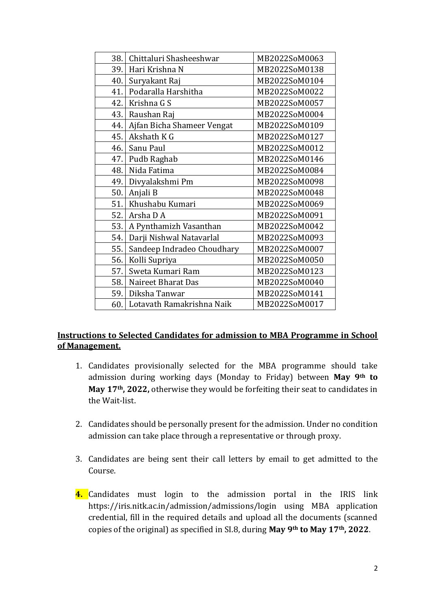| 38. | Chittaluri Shasheeshwar    | MB2022SoM0063 |
|-----|----------------------------|---------------|
| 39. | Hari Krishna N             | MB2022SoM0138 |
| 40. | Suryakant Raj              | MB2022SoM0104 |
| 41. | Podaralla Harshitha        | MB2022SoM0022 |
| 42. | Krishna G S                | MB2022SoM0057 |
| 43. | Raushan Raj                | MB2022SoM0004 |
| 44. | Ajfan Bicha Shameer Vengat | MB2022SoM0109 |
| 45. | Akshath K G                | MB2022SoM0127 |
| 46. | Sanu Paul                  | MB2022SoM0012 |
| 47. | Pudb Raghab                | MB2022SoM0146 |
| 48. | Nida Fatima                | MB2022SoM0084 |
| 49. | Divyalakshmi Pm            | MB2022SoM0098 |
| 50. | Anjali B                   | MB2022SoM0048 |
| 51. | Khushabu Kumari            | MB2022SoM0069 |
| 52. | Arsha D A                  | MB2022SoM0091 |
| 53. | A Pynthamizh Vasanthan     | MB2022SoM0042 |
| 54. | Darji Nishwal Natavarlal   | MB2022SoM0093 |
| 55. | Sandeep Indradeo Choudhary | MB2022SoM0007 |
| 56. | Kolli Supriya              | MB2022SoM0050 |
| 57. | Sweta Kumari Ram           | MB2022SoM0123 |
| 58. | Naireet Bharat Das         | MB2022SoM0040 |
| 59. | Diksha Tanwar              | MB2022SoM0141 |
| 60. | Lotavath Ramakrishna Naik  | MB2022SoM0017 |

### **Instructions to Selected Candidates for admission to MBA Programme in School of Management.**

- 1. Candidates provisionally selected for the MBA programme should take admission during working days (Monday to Friday) between **May 9th to May 17th, 2022,** otherwise they would be forfeiting their seat to candidates in the Wait-list.
- 2. Candidates should be personally present for the admission. Under no condition admission can take place through a representative or through proxy.
- 3. Candidates are being sent their call letters by email to get admitted to the Course.
- **4.** Candidates must login to the admission portal in the IRIS link https://iris.nitk.ac.in/admission/admissions/login using MBA application credential, fill in the required details and upload all the documents (scanned copies of the original) as specified in SI.8, during **May 9th to May 17th, 2022**.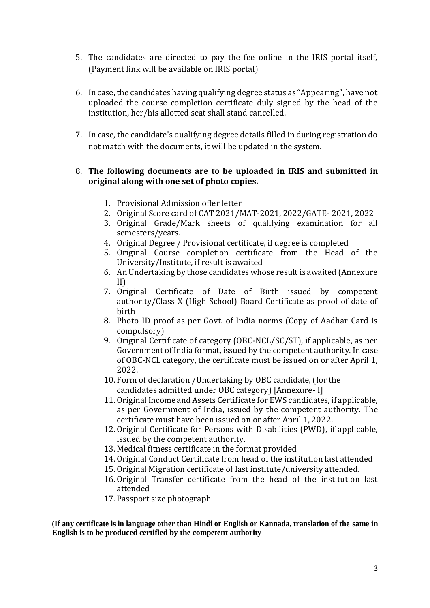- 5. The candidates are directed to pay the fee online in the IRIS portal itself, (Payment link will be available on IRIS portal)
- 6. In case, the candidates having qualifying degree status as "Appearing", have not uploaded the course completion certificate duly signed by the head of the institution, her/his allotted seat shall stand cancelled.
- 7. In case, the candidate's qualifying degree details filled in during registration do not match with the documents, it will be updated in the system.

#### 8. **The following documents are to be uploaded in IRIS and submitted in original along with one set of photo copies.**

- 1. Provisional Admission offer letter
- 2. Original Score card of CAT 2021/MAT-2021, 2022/GATE- 2021, 2022
- 3. Original Grade/Mark sheets of qualifying examination for all semesters/years.
- 4. Original Degree / Provisional certificate, if degree is completed
- 5. Original Course completion certificate from the Head of the University/Institute, if result is awaited
- 6. An Undertaking by those candidates whose result is awaited (Annexure II)
- 7. Original Certificate of Date of Birth issued by competent authority/Class X (High School) Board Certificate as proof of date of birth
- 8. Photo ID proof as per Govt. of India norms (Copy of Aadhar Card is compulsory)
- 9. Original Certificate of category (OBC-NCL/SC/ST), if applicable, as per Government of India format, issued by the competent authority. In case of OBC-NCL category, the certificate must be issued on or after April 1, 2022.
- 10. Form of declaration /Undertaking by OBC candidate, (for the candidates admitted under OBC category) [Annexure- I]
- 11. Original Income and Assets Certificate for EWS candidates, if applicable, as per Government of India, issued by the competent authority. The certificate must have been issued on or after April 1, 2022.
- 12. Original Certificate for Persons with Disabilities (PWD), if applicable, issued by the competent authority.
- 13. Medical fitness certificate in the format provided
- 14. Original Conduct Certificate from head of the institution last attended
- 15. Original Migration certificate of last institute/university attended.
- 16. Original Transfer certificate from the head of the institution last attended
- 17. Passport size photograph

**(If any certificate is in language other than Hindi or English or Kannada, translation of the same in English is to be produced certified by the competent authority**